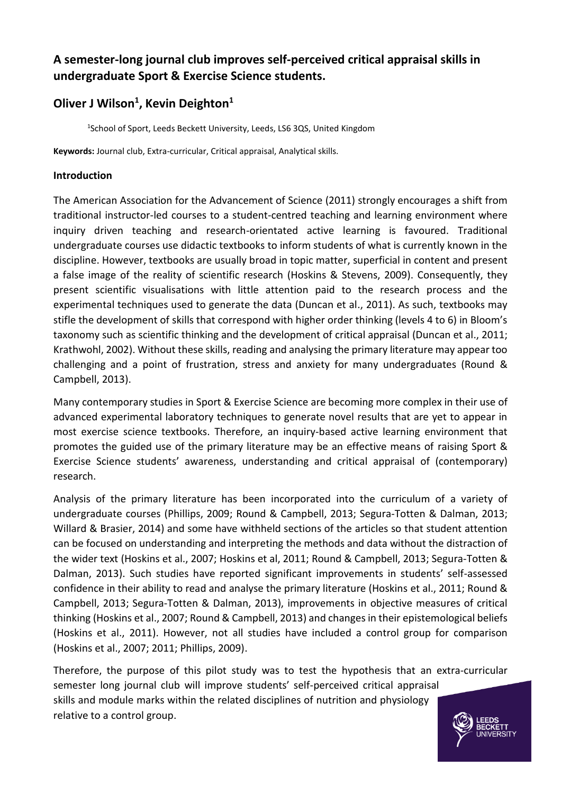# **A semester-long journal club improves self-perceived critical appraisal skills in undergraduate Sport & Exercise Science students.**

# **Oliver J Wilson<sup>1</sup> , Kevin Deighton<sup>1</sup>**

1 School of Sport, Leeds Beckett University, Leeds, LS6 3QS, United Kingdom

**Keywords:** Journal club, Extra-curricular, Critical appraisal, Analytical skills.

# **Introduction**

The American Association for the Advancement of Science (2011) strongly encourages a shift from traditional instructor-led courses to a student-centred teaching and learning environment where inquiry driven teaching and research-orientated active learning is favoured. Traditional undergraduate courses use didactic textbooks to inform students of what is currently known in the discipline. However, textbooks are usually broad in topic matter, superficial in content and present a false image of the reality of scientific research (Hoskins & Stevens, 2009). Consequently, they present scientific visualisations with little attention paid to the research process and the experimental techniques used to generate the data (Duncan et al., 2011). As such, textbooks may stifle the development of skills that correspond with higher order thinking (levels 4 to 6) in Bloom's taxonomy such as scientific thinking and the development of critical appraisal (Duncan et al., 2011; Krathwohl, 2002). Without these skills, reading and analysing the primary literature may appear too challenging and a point of frustration, stress and anxiety for many undergraduates (Round & Campbell, 2013).

Many contemporary studies in Sport & Exercise Science are becoming more complex in their use of advanced experimental laboratory techniques to generate novel results that are yet to appear in most exercise science textbooks. Therefore, an inquiry-based active learning environment that promotes the guided use of the primary literature may be an effective means of raising Sport & Exercise Science students' awareness, understanding and critical appraisal of (contemporary) research.

Analysis of the primary literature has been incorporated into the curriculum of a variety of undergraduate courses (Phillips, 2009; Round & Campbell, 2013; Segura-Totten & Dalman, 2013; Willard & Brasier, 2014) and some have withheld sections of the articles so that student attention can be focused on understanding and interpreting the methods and data without the distraction of the wider text (Hoskins et al., 2007; Hoskins et al, 2011; Round & Campbell, 2013; Segura-Totten & Dalman, 2013). Such studies have reported significant improvements in students' self-assessed confidence in their ability to read and analyse the primary literature (Hoskins et al., 2011; Round & Campbell, 2013; Segura-Totten & Dalman, 2013), improvements in objective measures of critical thinking (Hoskins et al., 2007; Round & Campbell, 2013) and changes in their epistemological beliefs (Hoskins et al., 2011). However, not all studies have included a control group for comparison (Hoskins et al., 2007; 2011; Phillips, 2009).

Therefore, the purpose of this pilot study was to test the hypothesis that an extra-curricular semester long journal club will improve students' self-perceived critical appraisal skills and module marks within the related disciplines of nutrition and physiology relative to a control group.

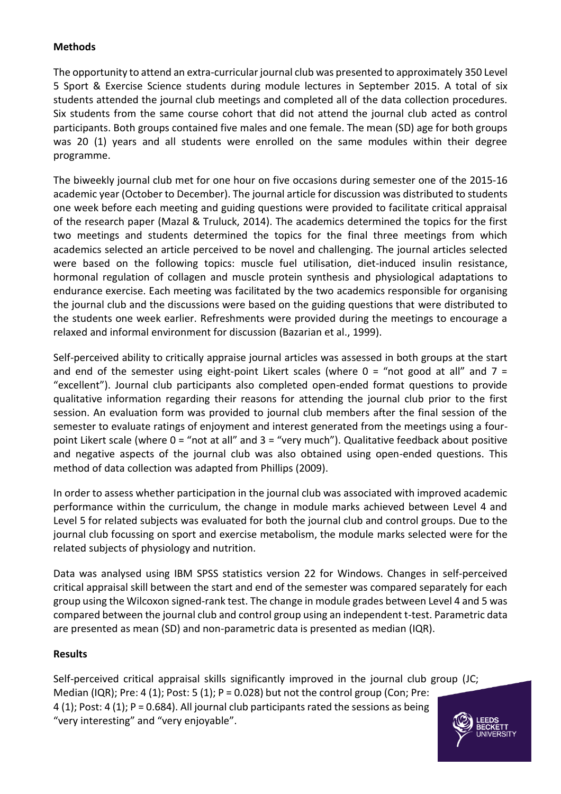# **Methods**

The opportunity to attend an extra-curricular journal club was presented to approximately 350 Level 5 Sport & Exercise Science students during module lectures in September 2015. A total of six students attended the journal club meetings and completed all of the data collection procedures. Six students from the same course cohort that did not attend the journal club acted as control participants. Both groups contained five males and one female. The mean (SD) age for both groups was 20 (1) years and all students were enrolled on the same modules within their degree programme.

The biweekly journal club met for one hour on five occasions during semester one of the 2015-16 academic year (October to December). The journal article for discussion was distributed to students one week before each meeting and guiding questions were provided to facilitate critical appraisal of the research paper (Mazal & Truluck, 2014). The academics determined the topics for the first two meetings and students determined the topics for the final three meetings from which academics selected an article perceived to be novel and challenging. The journal articles selected were based on the following topics: muscle fuel utilisation, diet-induced insulin resistance, hormonal regulation of collagen and muscle protein synthesis and physiological adaptations to endurance exercise. Each meeting was facilitated by the two academics responsible for organising the journal club and the discussions were based on the guiding questions that were distributed to the students one week earlier. Refreshments were provided during the meetings to encourage a relaxed and informal environment for discussion (Bazarian et al., 1999).

Self-perceived ability to critically appraise journal articles was assessed in both groups at the start and end of the semester using eight-point Likert scales (where  $0 =$  "not good at all" and  $7 =$ "excellent"). Journal club participants also completed open-ended format questions to provide qualitative information regarding their reasons for attending the journal club prior to the first session. An evaluation form was provided to journal club members after the final session of the semester to evaluate ratings of enjoyment and interest generated from the meetings using a fourpoint Likert scale (where 0 = "not at all" and 3 = "very much"). Qualitative feedback about positive and negative aspects of the journal club was also obtained using open-ended questions. This method of data collection was adapted from Phillips (2009).

In order to assess whether participation in the journal club was associated with improved academic performance within the curriculum, the change in module marks achieved between Level 4 and Level 5 for related subjects was evaluated for both the journal club and control groups. Due to the journal club focussing on sport and exercise metabolism, the module marks selected were for the related subjects of physiology and nutrition.

Data was analysed using IBM SPSS statistics version 22 for Windows. Changes in self-perceived critical appraisal skill between the start and end of the semester was compared separately for each group using the Wilcoxon signed-rank test. The change in module grades between Level 4 and 5 was compared between the journal club and control group using an independent t-test. Parametric data are presented as mean (SD) and non-parametric data is presented as median (IQR).

# **Results**

Self-perceived critical appraisal skills significantly improved in the journal club group (JC; Median (IQR); Pre: 4 (1); Post: 5 (1); P = 0.028) but not the control group (Con; Pre: 4 (1); Post: 4 (1); P = 0.684). All journal club participants rated the sessions as being "very interesting" and "very enjoyable".

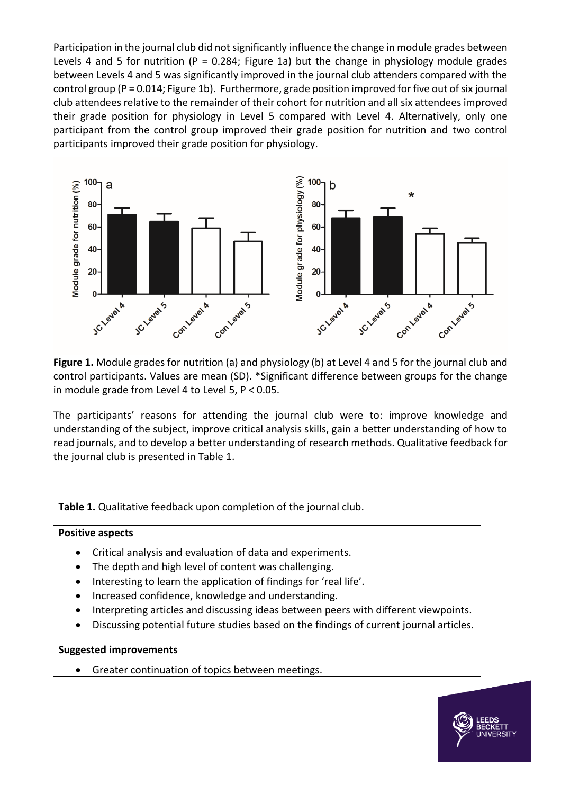Participation in the journal club did not significantly influence the change in module grades between Levels 4 and 5 for nutrition (P = 0.284; Figure 1a) but the change in physiology module grades between Levels 4 and 5 was significantly improved in the journal club attenders compared with the control group (P = 0.014; Figure 1b). Furthermore, grade position improved for five out of six journal club attendees relative to the remainder of their cohort for nutrition and all six attendees improved their grade position for physiology in Level 5 compared with Level 4. Alternatively, only one participant from the control group improved their grade position for nutrition and two control participants improved their grade position for physiology.



**Figure 1.** Module grades for nutrition (a) and physiology (b) at Level 4 and 5 for the journal club and control participants. Values are mean (SD). \*Significant difference between groups for the change in module grade from Level 4 to Level 5, P < 0.05.

The participants' reasons for attending the journal club were to: improve knowledge and understanding of the subject, improve critical analysis skills, gain a better understanding of how to read journals, and to develop a better understanding of research methods. Qualitative feedback for the journal club is presented in Table 1.

**Table 1.** Qualitative feedback upon completion of the journal club.

#### **Positive aspects**

- Critical analysis and evaluation of data and experiments.
- The depth and high level of content was challenging.
- Interesting to learn the application of findings for 'real life'.
- Increased confidence, knowledge and understanding.
- Interpreting articles and discussing ideas between peers with different viewpoints.
- Discussing potential future studies based on the findings of current journal articles.

#### **Suggested improvements**

Greater continuation of topics between meetings.

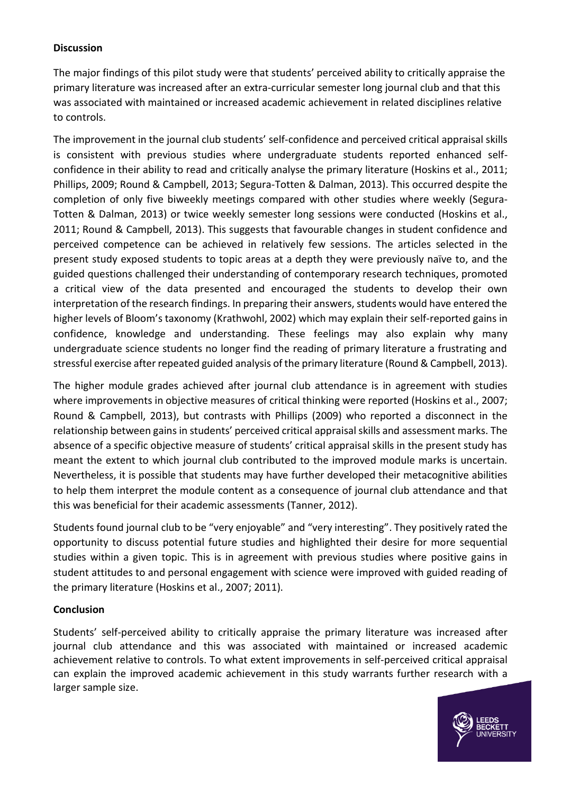## **Discussion**

The major findings of this pilot study were that students' perceived ability to critically appraise the primary literature was increased after an extra-curricular semester long journal club and that this was associated with maintained or increased academic achievement in related disciplines relative to controls.

The improvement in the journal club students' self-confidence and perceived critical appraisal skills is consistent with previous studies where undergraduate students reported enhanced selfconfidence in their ability to read and critically analyse the primary literature (Hoskins et al., 2011; Phillips, 2009; Round & Campbell, 2013; Segura-Totten & Dalman, 2013). This occurred despite the completion of only five biweekly meetings compared with other studies where weekly (Segura-Totten & Dalman, 2013) or twice weekly semester long sessions were conducted (Hoskins et al., 2011; Round & Campbell, 2013). This suggests that favourable changes in student confidence and perceived competence can be achieved in relatively few sessions. The articles selected in the present study exposed students to topic areas at a depth they were previously naïve to, and the guided questions challenged their understanding of contemporary research techniques, promoted a critical view of the data presented and encouraged the students to develop their own interpretation of the research findings. In preparing their answers, students would have entered the higher levels of Bloom's taxonomy (Krathwohl, 2002) which may explain their self-reported gains in confidence, knowledge and understanding. These feelings may also explain why many undergraduate science students no longer find the reading of primary literature a frustrating and stressful exercise after repeated guided analysis of the primary literature (Round & Campbell, 2013).

The higher module grades achieved after journal club attendance is in agreement with studies where improvements in objective measures of critical thinking were reported (Hoskins et al., 2007; Round & Campbell, 2013), but contrasts with Phillips (2009) who reported a disconnect in the relationship between gains in students' perceived critical appraisal skills and assessment marks. The absence of a specific objective measure of students' critical appraisal skills in the present study has meant the extent to which journal club contributed to the improved module marks is uncertain. Nevertheless, it is possible that students may have further developed their metacognitive abilities to help them interpret the module content as a consequence of journal club attendance and that this was beneficial for their academic assessments (Tanner, 2012).

Students found journal club to be "very enjoyable" and "very interesting". They positively rated the opportunity to discuss potential future studies and highlighted their desire for more sequential studies within a given topic. This is in agreement with previous studies where positive gains in student attitudes to and personal engagement with science were improved with guided reading of the primary literature (Hoskins et al., 2007; 2011).

#### **Conclusion**

Students' self-perceived ability to critically appraise the primary literature was increased after journal club attendance and this was associated with maintained or increased academic achievement relative to controls. To what extent improvements in self-perceived critical appraisal can explain the improved academic achievement in this study warrants further research with a larger sample size.